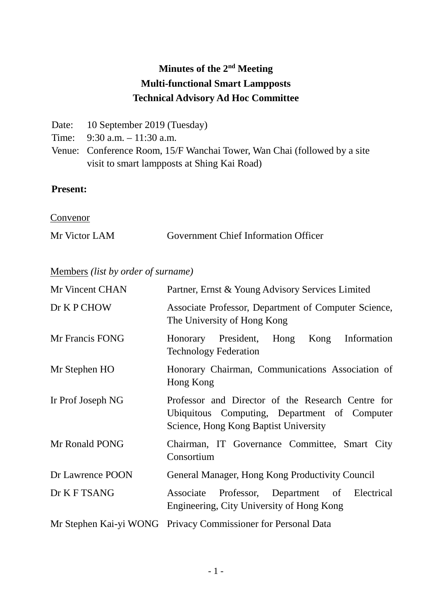# **Minutes of the 2nd Meeting Multi-functional Smart Lampposts Technical Advisory Ad Hoc Committee**

- Date: 10 September 2019 (Tuesday)
- Time: 9:30 a.m. 11:30 a.m.
- Venue: Conference Room, 15/F Wanchai Tower, Wan Chai (followed by a site visit to smart lampposts at Shing Kai Road)

# **Present:**

**Convenor** 

| Mr Victor LAM | <b>Government Chief Information Officer</b> |  |
|---------------|---------------------------------------------|--|
|               |                                             |  |

Members *(list by order of surname)*

| Mr Vincent CHAN   | Partner, Ernst & Young Advisory Services Limited                                                                                           |  |
|-------------------|--------------------------------------------------------------------------------------------------------------------------------------------|--|
| Dr K P CHOW       | Associate Professor, Department of Computer Science,<br>The University of Hong Kong                                                        |  |
| Mr Francis FONG   | Honorary President,<br>Hong<br>Kong Information<br><b>Technology Federation</b>                                                            |  |
| Mr Stephen HO     | Honorary Chairman, Communications Association of<br>Hong Kong                                                                              |  |
| Ir Prof Joseph NG | Professor and Director of the Research Centre for<br>Ubiquitous Computing, Department of Computer<br>Science, Hong Kong Baptist University |  |
| Mr Ronald PONG    | Chairman, IT Governance Committee, Smart City<br>Consortium                                                                                |  |
| Dr Lawrence POON  | General Manager, Hong Kong Productivity Council                                                                                            |  |
| Dr K F TSANG      | Associate Professor, Department of Electrical<br>Engineering, City University of Hong Kong                                                 |  |
|                   | Mr Stephen Kai-yi WONG Privacy Commissioner for Personal Data                                                                              |  |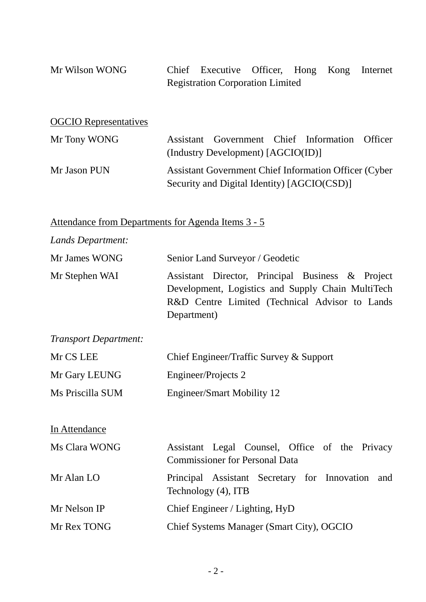| Mr Wilson WONG | Chief Executive Officer, Hong Kong Internet |  |  |
|----------------|---------------------------------------------|--|--|
|                | <b>Registration Corporation Limited</b>     |  |  |

| <b>OGCIO</b> Representatives |                                                                                                             |  |  |
|------------------------------|-------------------------------------------------------------------------------------------------------------|--|--|
| Mr Tony WONG                 | Assistant Government Chief Information Officer<br>(Industry Development) [AGCIO(ID)]                        |  |  |
| Mr Jason PUN                 | <b>Assistant Government Chief Information Officer (Cyber</b><br>Security and Digital Identity) [AGCIO(CSD)] |  |  |

Attendance from Departments for Agenda Items 3 - 5

| Lands Department:            |                                                                                                                                                                        |  |  |
|------------------------------|------------------------------------------------------------------------------------------------------------------------------------------------------------------------|--|--|
| Mr James WONG                | Senior Land Surveyor / Geodetic                                                                                                                                        |  |  |
| Mr Stephen WAI               | Assistant Director, Principal Business & Project<br>Development, Logistics and Supply Chain MultiTech<br>R&D Centre Limited (Technical Advisor to Lands<br>Department) |  |  |
| <b>Transport Department:</b> |                                                                                                                                                                        |  |  |
| Mr CS LEE                    | Chief Engineer/Traffic Survey & Support                                                                                                                                |  |  |
| Mr Gary LEUNG                | Engineer/Projects 2                                                                                                                                                    |  |  |
| Ms Priscilla SUM             | <b>Engineer/Smart Mobility 12</b>                                                                                                                                      |  |  |
| In Attendance                |                                                                                                                                                                        |  |  |
| Ms Clara WONG                | Assistant Legal Counsel, Office of the Privacy<br><b>Commissioner for Personal Data</b>                                                                                |  |  |
| Mr Alan LO                   | Principal Assistant Secretary for Innovation<br>and<br>Technology (4), ITB                                                                                             |  |  |
| Mr Nelson IP                 | Chief Engineer / Lighting, HyD                                                                                                                                         |  |  |
| Mr Rex TONG                  | Chief Systems Manager (Smart City), OGCIO                                                                                                                              |  |  |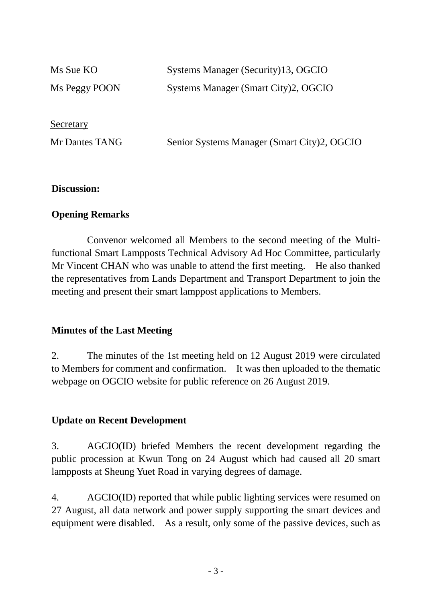| Ms Sue KO      | Systems Manager (Security)13, OGCIO         |
|----------------|---------------------------------------------|
| Ms Peggy POON  | Systems Manager (Smart City)2, OGCIO        |
|                |                                             |
| Secretary      |                                             |
| Mr Dantes TANG | Senior Systems Manager (Smart City)2, OGCIO |
|                |                                             |

### **Discussion:**

### **Opening Remarks**

Convenor welcomed all Members to the second meeting of the Multifunctional Smart Lampposts Technical Advisory Ad Hoc Committee, particularly Mr Vincent CHAN who was unable to attend the first meeting. He also thanked the representatives from Lands Department and Transport Department to join the meeting and present their smart lamppost applications to Members.

### **Minutes of the Last Meeting**

2. The minutes of the 1st meeting held on 12 August 2019 were circulated to Members for comment and confirmation. It was then uploaded to the thematic webpage on OGCIO website for public reference on 26 August 2019.

### **Update on Recent Development**

3. AGCIO(ID) briefed Members the recent development regarding the public procession at Kwun Tong on 24 August which had caused all 20 smart lampposts at Sheung Yuet Road in varying degrees of damage.

4. AGCIO(ID) reported that while public lighting services were resumed on 27 August, all data network and power supply supporting the smart devices and equipment were disabled. As a result, only some of the passive devices, such as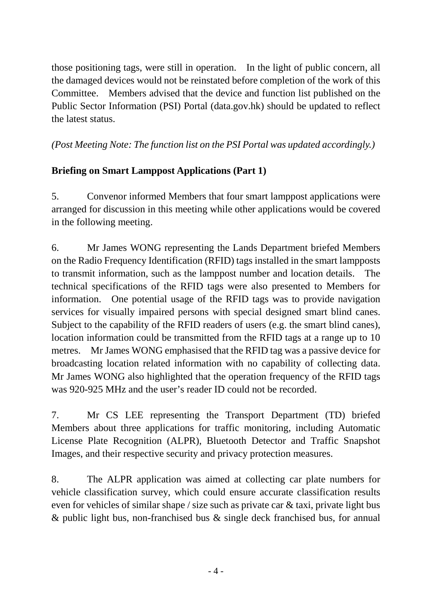those positioning tags, were still in operation. In the light of public concern, all the damaged devices would not be reinstated before completion of the work of this Committee. Members advised that the device and function list published on the Public Sector Information (PSI) Portal (data.gov.hk) should be updated to reflect the latest status.

# *(Post Meeting Note: The function list on the PSI Portal was updated accordingly.)*

# **Briefing on Smart Lamppost Applications (Part 1)**

5. Convenor informed Members that four smart lamppost applications were arranged for discussion in this meeting while other applications would be covered in the following meeting.

6. Mr James WONG representing the Lands Department briefed Members on the Radio Frequency Identification (RFID) tags installed in the smart lampposts to transmit information, such as the lamppost number and location details. The technical specifications of the RFID tags were also presented to Members for information. One potential usage of the RFID tags was to provide navigation services for visually impaired persons with special designed smart blind canes. Subject to the capability of the RFID readers of users (e.g. the smart blind canes), location information could be transmitted from the RFID tags at a range up to 10 metres. Mr James WONG emphasised that the RFID tag was a passive device for broadcasting location related information with no capability of collecting data. Mr James WONG also highlighted that the operation frequency of the RFID tags was 920-925 MHz and the user's reader ID could not be recorded.

7. Mr CS LEE representing the Transport Department (TD) briefed Members about three applications for traffic monitoring, including Automatic License Plate Recognition (ALPR), Bluetooth Detector and Traffic Snapshot Images, and their respective security and privacy protection measures.

8. The ALPR application was aimed at collecting car plate numbers for vehicle classification survey, which could ensure accurate classification results even for vehicles of similar shape / size such as private car & taxi, private light bus & public light bus, non-franchised bus & single deck franchised bus, for annual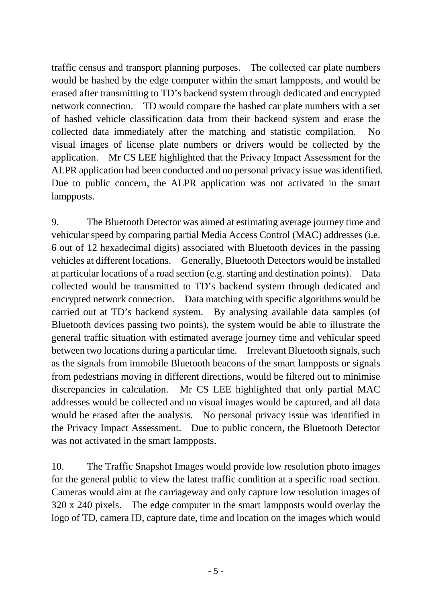traffic census and transport planning purposes. The collected car plate numbers would be hashed by the edge computer within the smart lampposts, and would be erased after transmitting to TD's backend system through dedicated and encrypted network connection. TD would compare the hashed car plate numbers with a set of hashed vehicle classification data from their backend system and erase the collected data immediately after the matching and statistic compilation. No visual images of license plate numbers or drivers would be collected by the application. Mr CS LEE highlighted that the Privacy Impact Assessment for the ALPR application had been conducted and no personal privacy issue was identified. Due to public concern, the ALPR application was not activated in the smart lampposts.

9. The Bluetooth Detector was aimed at estimating average journey time and vehicular speed by comparing partial Media Access Control (MAC) addresses (i.e. 6 out of 12 hexadecimal digits) associated with Bluetooth devices in the passing vehicles at different locations. Generally, Bluetooth Detectors would be installed at particular locations of a road section (e.g. starting and destination points). Data collected would be transmitted to TD's backend system through dedicated and encrypted network connection. Data matching with specific algorithms would be carried out at TD's backend system. By analysing available data samples (of Bluetooth devices passing two points), the system would be able to illustrate the general traffic situation with estimated average journey time and vehicular speed between two locations during a particular time. Irrelevant Bluetooth signals, such as the signals from immobile Bluetooth beacons of the smart lampposts or signals from pedestrians moving in different directions, would be filtered out to minimise discrepancies in calculation. Mr CS LEE highlighted that only partial MAC addresses would be collected and no visual images would be captured, and all data would be erased after the analysis. No personal privacy issue was identified in the Privacy Impact Assessment. Due to public concern, the Bluetooth Detector was not activated in the smart lampposts.

10. The Traffic Snapshot Images would provide low resolution photo images for the general public to view the latest traffic condition at a specific road section. Cameras would aim at the carriageway and only capture low resolution images of 320 x 240 pixels. The edge computer in the smart lampposts would overlay the logo of TD, camera ID, capture date, time and location on the images which would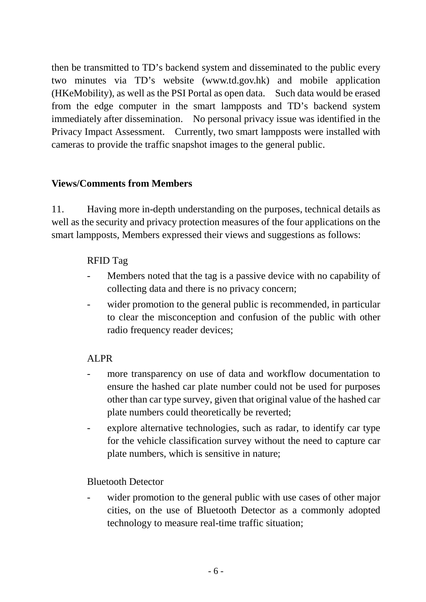then be transmitted to TD's backend system and disseminated to the public every two minutes via TD's website [\(www.td.gov.hk\)](http://www.td.gov.hk/) and mobile application (HKeMobility), as well as the PSI Portal as open data. Such data would be erased from the edge computer in the smart lampposts and TD's backend system immediately after dissemination. No personal privacy issue was identified in the Privacy Impact Assessment. Currently, two smart lampposts were installed with cameras to provide the traffic snapshot images to the general public.

# **Views/Comments from Members**

11. Having more in-depth understanding on the purposes, technical details as well as the security and privacy protection measures of the four applications on the smart lampposts, Members expressed their views and suggestions as follows:

# RFID Tag

- Members noted that the tag is a passive device with no capability of collecting data and there is no privacy concern;
- wider promotion to the general public is recommended, in particular to clear the misconception and confusion of the public with other radio frequency reader devices;

# ALPR

- more transparency on use of data and workflow documentation to ensure the hashed car plate number could not be used for purposes other than car type survey, given that original value of the hashed car plate numbers could theoretically be reverted;
- explore alternative technologies, such as radar, to identify car type for the vehicle classification survey without the need to capture car plate numbers, which is sensitive in nature;

# Bluetooth Detector

wider promotion to the general public with use cases of other major cities, on the use of Bluetooth Detector as a commonly adopted technology to measure real-time traffic situation;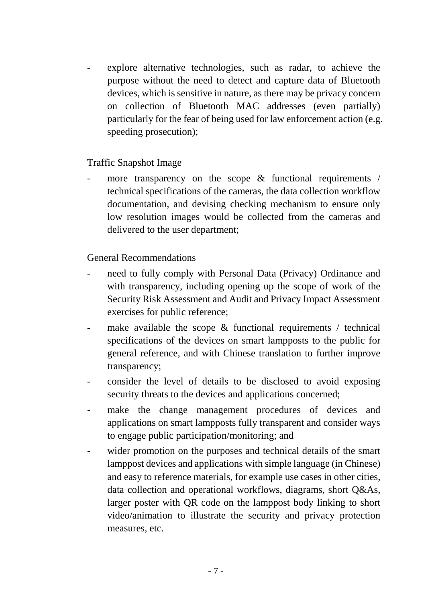explore alternative technologies, such as radar, to achieve the purpose without the need to detect and capture data of Bluetooth devices, which is sensitive in nature, as there may be privacy concern on collection of Bluetooth MAC addresses (even partially) particularly for the fear of being used for law enforcement action (e.g. speeding prosecution);

Traffic Snapshot Image

more transparency on the scope  $\&$  functional requirements / technical specifications of the cameras, the data collection workflow documentation, and devising checking mechanism to ensure only low resolution images would be collected from the cameras and delivered to the user department;

General Recommendations

- need to fully comply with Personal Data (Privacy) Ordinance and with transparency, including opening up the scope of work of the Security Risk Assessment and Audit and Privacy Impact Assessment exercises for public reference;
- make available the scope  $\&$  functional requirements / technical specifications of the devices on smart lampposts to the public for general reference, and with Chinese translation to further improve transparency;
- consider the level of details to be disclosed to avoid exposing security threats to the devices and applications concerned;
- make the change management procedures of devices and applications on smart lampposts fully transparent and consider ways to engage public participation/monitoring; and
- wider promotion on the purposes and technical details of the smart lamppost devices and applications with simple language (in Chinese) and easy to reference materials, for example use cases in other cities, data collection and operational workflows, diagrams, short Q&As, larger poster with QR code on the lamppost body linking to short video/animation to illustrate the security and privacy protection measures, etc.